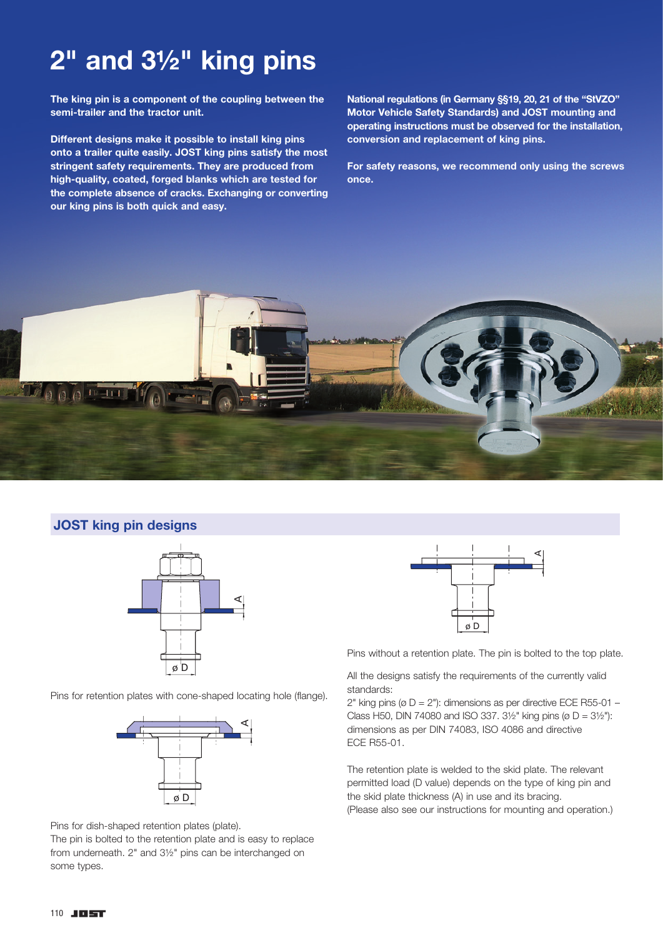## 2" and 3½" king pins

The king pin is a component of the coupling between the semi-trailer and the tractor unit.

Different designs make it possible to install king pins onto a trailer quite easily. JOST king pins satisfy the most stringent safety requirements. They are produced from high-quality, coated, forged blanks which are tested for the complete absence of cracks. Exchanging or converting our king pins is both quick and easy.

National regulations (in Germany §§19, 20, 21 of the "StVZO" Motor Vehicle Safety Standards) and JOST mounting and operating instructions must be observed for the installation, conversion and replacement of king pins.

For safety reasons, we recommend only using the screws once.



## JOST king pin designs



Pins for retention plates with cone-shaped locating hole (flange).



Pins for dish-shaped retention plates (plate).

The pin is bolted to the retention plate and is easy to replace from underneath. 2" and 3½" pins can be interchanged on some types.



Pins without a retention plate. The pin is bolted to the top plate.

All the designs satisfy the requirements of the currently valid standards:

2" king pins ( $\varnothing$  D = 2"): dimensions as per directive ECE R55-01 – Class H50, DIN 74080 and ISO 337.  $3\frac{1}{2}$ " king pins (ø D =  $3\frac{1}{2}$ "): dimensions as per DIN 74083, ISO 4086 and directive ECE R55-01.

The retention plate is welded to the skid plate. The relevant permitted load (D value) depends on the type of king pin and the skid plate thickness (A) in use and its bracing. (Please also see our instructions for mounting and operation.)